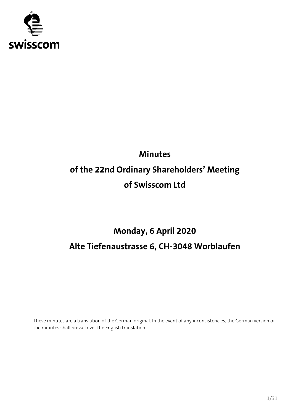

# **Minutes of the 22nd Ordinary Shareholders' Meeting of Swisscom Ltd**

# **Monday, 6 April 2020 Alte Tiefenaustrasse 6, CH-3048 Worblaufen**

These minutes are a translation of the German original. In the event of any inconsistencies, the German version of the minutes shall prevail over the English translation.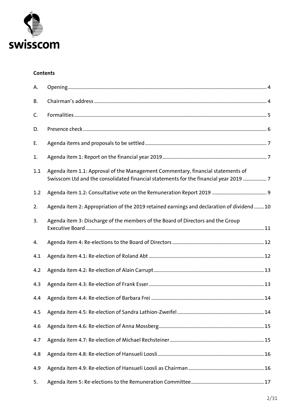

#### **Contents**

| А.  |                                                                                                                                                                          |  |
|-----|--------------------------------------------------------------------------------------------------------------------------------------------------------------------------|--|
| В.  |                                                                                                                                                                          |  |
| C.  |                                                                                                                                                                          |  |
| D.  |                                                                                                                                                                          |  |
| Е.  |                                                                                                                                                                          |  |
| 1.  |                                                                                                                                                                          |  |
| 1.1 | Agenda item 1.1: Approval of the Management Commentary, financial statements of<br>Swisscom Ltd and the consolidated financial statements for the financial year 2019  7 |  |
| 1.2 |                                                                                                                                                                          |  |
| 2.  | Agenda item 2: Appropriation of the 2019 retained earnings and declaration of dividend 10                                                                                |  |
| 3.  | Agenda item 3: Discharge of the members of the Board of Directors and the Group                                                                                          |  |
| 4.  |                                                                                                                                                                          |  |
| 4.1 |                                                                                                                                                                          |  |
| 4.2 |                                                                                                                                                                          |  |
| 4.3 |                                                                                                                                                                          |  |
| 4.4 |                                                                                                                                                                          |  |
| 4.5 |                                                                                                                                                                          |  |
| 4.6 |                                                                                                                                                                          |  |
| 4.7 |                                                                                                                                                                          |  |
| 4.8 |                                                                                                                                                                          |  |
| 4.9 |                                                                                                                                                                          |  |
| 5.  |                                                                                                                                                                          |  |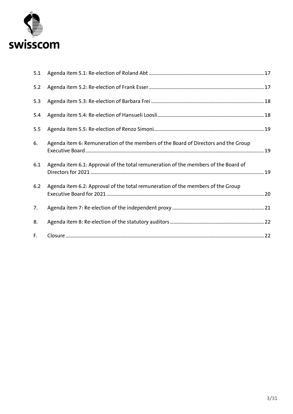

| 5.1 |                                                                                    |  |
|-----|------------------------------------------------------------------------------------|--|
| 5.2 |                                                                                    |  |
| 5.3 |                                                                                    |  |
| 5.4 |                                                                                    |  |
| 5.5 |                                                                                    |  |
| 6.  | Agenda item 6: Remuneration of the members of the Board of Directors and the Group |  |
| 6.1 | Agenda item 6.1: Approval of the total remuneration of the members of the Board of |  |
| 6.2 | Agenda item 6.2: Approval of the total remuneration of the members of the Group    |  |
| 7.  |                                                                                    |  |
| 8.  |                                                                                    |  |
| F.  |                                                                                    |  |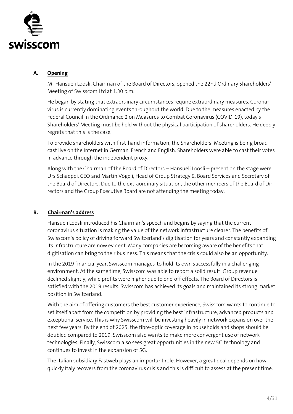

#### <span id="page-3-0"></span>**A. Opening**

Mr Hansueli Loosli, Chairman of the Board of Directors, opened the 22nd Ordinary Shareholders' Meeting of Swisscom Ltd at 1.30 p.m.

He began by stating that extraordinary circumstances require extraordinary measures. Coronavirus is currently dominating events throughout the world. Due to the measures enacted by the Federal Council in the Ordinance 2 on Measures to Combat Coronavirus (COVID-19), today's Shareholders' Meeting must be held without the physical participation of shareholders. He deeply regrets that this is the case.

To provide shareholders with first-hand information, the Shareholders' Meeting is being broadcast live on the Internet in German, French and English. Shareholders were able to cast their votes in advance through the independent proxy.

Along with the Chairman of the Board of Directors – Hansueli Loosli – present on the stage were Urs Schaeppi, CEO and Martin Vögeli, Head of Group Strategy & Board Services and Secretary of the Board of Directors. Due to the extraordinary situation, the other members of the Board of Directors and the Group Executive Board are not attending the meeting today.

## <span id="page-3-1"></span>**B. Chairman's address**

Hansueli Loosli introduced his Chairman's speech and begins by saying that the current coronavirus situation is making the value of the network infrastructure clearer. The benefits of Swisscom's policy of driving forward Switzerland's digitisation for years and constantly expanding its infrastructure are now evident. Many companies are becoming aware of the benefits that digitisation can bring to their business. This means that the crisis could also be an opportunity.

In the 2019 financial year, Swisscom managed to hold its own successfully in a challenging environment. At the same time, Swisscom was able to report a solid result: Group revenue declined slightly, while profits were higher due to one-off effects. The Board of Directors is satisfied with the 2019 results. Swisscom has achieved its goals and maintained its strong market position in Switzerland.

With the aim of offering customers the best customer experience, Swisscom wants to continue to set itself apart from the competition by providing the best infrastructure, advanced products and exceptional service. This is why Swisscom will be investing heavily in network expansion over the next few years. By the end of 2025, the fibre-optic coverage in households and shops should be doubled compared to 2019. Swisscom also wants to make more convergent use of network technologies. Finally, Swisscom also sees great opportunities in the new 5G technology and continues to invest in the expansion of 5G.

The Italian subsidiary Fastweb plays an important role. However, a great deal depends on how quickly Italy recovers from the coronavirus crisis and this is difficult to assess at the present time.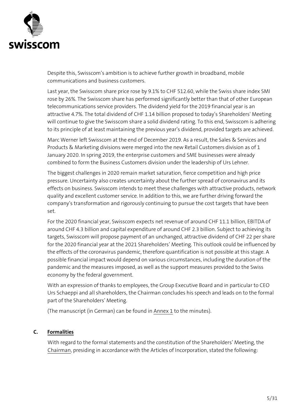

Despite this, Swisscom's ambition is to achieve further growth in broadband, mobile communications and business customers.

Last year, the Swisscom share price rose by 9.1% to CHF 512.60, while the Swiss share index SMI rose by 26%. The Swisscom share has performed significantly better than that of other European telecommunications service providers. The dividend yield for the 2019 financial year is an attractive 4.7%. The total dividend of CHF 1.14 billion proposed to today's Shareholders' Meeting will continue to give the Swisscom share a solid dividend rating. To this end, Swisscom is adhering to its principle of at least maintaining the previous year's dividend, provided targets are achieved.

Marc Werner left Swisscom at the end of December 2019. As a result, the Sales & Services and Products & Marketing divisions were merged into the new Retail Customers division as of 1 January 2020. In spring 2019, the enterprise customers and SME businesses were already combined to form the Business Customers division under the leadership of Urs Lehner.

The biggest challenges in 2020 remain market saturation, fierce competition and high price pressure. Uncertainty also creates uncertainty about the further spread of coronavirus and its effects on business. Swisscom intends to meet these challenges with attractive products, network quality and excellent customer service. In addition to this, we are further driving forward the company's transformation and rigorously continuing to pursue the cost targets that have been set.

For the 2020 financial year, Swisscom expects net revenue of around CHF 11.1 billion, EBITDA of around CHF 4.3 billion and capital expenditure of around CHF 2.3 billion. Subject to achieving its targets, Swisscom will propose payment of an unchanged, attractive dividend of CHF 22 per share for the 2020 financial year at the 2021 Shareholders' Meeting. This outlook could be influenced by the effects of the coronavirus pandemic, therefore quantification is not possible at this stage. A possible financial impact would depend on various circumstances, including the duration of the pandemic and the measures imposed, as well as the support measures provided to the Swiss economy by the federal government.

With an expression of thanks to employees, the Group Executive Board and in particular to CEO Urs Schaeppi and all shareholders, the Chairman concludes his speech and leads on to the formal part of the Shareholders' Meeting.

(The manuscript (in German) can be found in Annex 1 to the minutes).

## <span id="page-4-0"></span>**C. Formalities**

With regard to the formal statements and the constitution of the Shareholders' Meeting, the Chairman, presiding in accordance with the Articles of Incorporation, stated the following: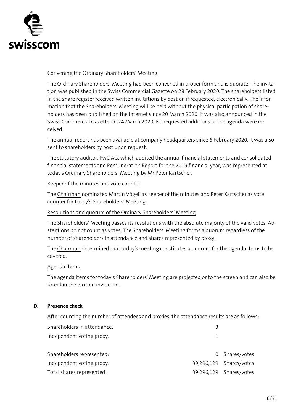

#### Convening the Ordinary Shareholders' Meeting

The Ordinary Shareholders' Meeting had been convened in proper form and is quorate. The invitation was published in the Swiss Commercial Gazette on 28 February 2020. The shareholders listed in the share register received written invitations by post or, if requested, electronically. The information that the Shareholders' Meeting will be held without the physical participation of shareholders has been published on the Internet since 20 March 2020. It was also announced in the Swiss Commercial Gazette on 24 March 2020. No requested additions to the agenda were received.

The annual report has been available at company headquarters since 6 February 2020. It was also sent to shareholders by post upon request.

The statutory auditor, PwC AG, which audited the annual financial statements and consolidated financial statements and Remuneration Report for the 2019 financial year, was represented at today's Ordinary Shareholders' Meeting by Mr Peter Kartscher.

#### Keeper of the minutes and vote counter

The Chairman nominated Martin Vögeli as keeper of the minutes and Peter Kartscher as vote counter for today's Shareholders' Meeting.

#### Resolutions and quorum of the Ordinary Shareholders' Meeting

The Shareholders' Meeting passes its resolutions with the absolute majority of the valid votes. Abstentions do not count as votes. The Shareholders' Meeting forms a quorum regardless of the number of shareholders in attendance and shares represented by proxy.

The Chairman determined that today's meeting constitutes a quorum for the agenda items to be covered.

#### Agenda items

The agenda items for today's Shareholders' Meeting are projected onto the screen and can also be found in the written invitation.

#### <span id="page-5-0"></span>**D. Presence check**

After counting the number of attendees and proxies, the attendance results are as follows:

| Shareholders in attendance: | 2 |                         |
|-----------------------------|---|-------------------------|
| Independent voting proxy:   |   |                         |
| Shareholders represented:   |   | 0 Shares/votes          |
| Independent voting proxy:   |   | 39,296,129 Shares/votes |
| Total shares represented:   |   | 39,296,129 Shares/votes |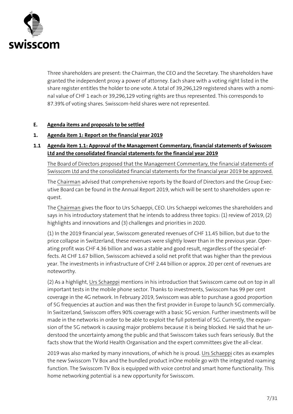

Three shareholders are present: the Chairman, the CEO and the Secretary. The shareholders have granted the independent proxy a power of attorney. Each share with a voting right listed in the share register entitles the holder to one vote. A total of 39,296,129 registered shares with a nominal value of CHF 1 each or 39,296,129 voting rights are thus represented. This corresponds to 87.39% of voting shares. Swisscom-held shares were not represented.

#### <span id="page-6-0"></span>**E. Agenda items and proposals to be settled**

#### <span id="page-6-1"></span>**1. Agenda item 1: Report on the financial year 2019**

## <span id="page-6-2"></span>**1.1 Agenda item 1.1: Approval of the Management Commentary, financial statements of Swisscom Ltd and the consolidated financial statements for the financial year 2019**

The Board of Directors proposed that the Management Commentary, the financial statements of Swisscom Ltd and the consolidated financial statements for the financial year 2019 be approved.

The Chairman advised that comprehensive reports by the Board of Directors and the Group Executive Board can be found in the Annual Report 2019, which will be sent to shareholders upon request.

The Chairman gives the floor to Urs Schaeppi, CEO. Urs Schaeppi welcomes the shareholders and says in his introductory statement that he intends to address three topics: (1) review of 2019, (2) highlights and innovations and (3) challenges and priorities in 2020.

(1) In the 2019 financial year, Swisscom generated revenues of CHF 11.45 billion, but due to the price collapse in Switzerland, these revenues were slightly lower than in the previous year. Operating profit was CHF 4.36 billion and was a stable and good result, regardless of the special effects. At CHF 1.67 billion, Swisscom achieved a solid net profit that was higher than the previous year. The investments in infrastructure of CHF 2.44 billion or approx. 20 per cent of revenues are noteworthy.

(2) As a highlight, Urs Schaeppi mentions in his introduction that Swisscom came out on top in all important tests in the mobile phone sector. Thanks to investments, Swisscom has 99 per cent coverage in the 4G network. In February 2019, Swisscom was able to purchase a good proportion of 5G frequencies at auction and was then the first provider in Europe to launch 5G commercially. In Switzerland, Swisscom offers 90% coverage with a basic 5G version. Further investments will be made in the networks in order to be able to exploit the full potential of 5G. Currently, the expansion of the 5G network is causing major problems because it is being blocked. He said that he understood the uncertainty among the public and that Swisscom takes such fears seriously. But the facts show that the World Health Organisation and the expert committees give the all-clear.

2019 was also marked by many innovations, of which he is proud. Urs Schaeppi cites as examples the new Swisscom TV Box and the bundled product inOne mobile go with the integrated roaming function. The Swisscom TV Box is equipped with voice control and smart home functionality. This home networking potential is a new opportunity for Swisscom.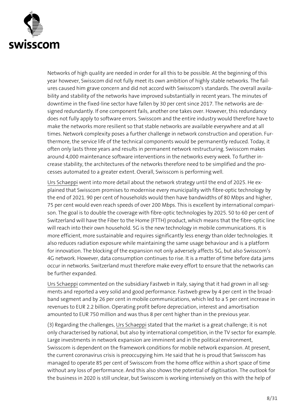

Networks of high quality are needed in order for all this to be possible. At the beginning of this year however, Swisscom did not fully meet its own ambition of highly stable networks. The failures caused him grave concern and did not accord with Swisscom's standards. The overall availability and stability of the networks have improved substantially in recent years. The minutes of downtime in the fixed-line sector have fallen by 30 per cent since 2017. The networks are designed redundantly. If one component fails, another one takes over. However, this redundancy does not fully apply to software errors. Swisscom and the entire industry would therefore have to make the networks more resilient so that stable networks are available everywhere and at all times. Network complexity poses a further challenge in network construction and operation. Furthermore, the service life of the technical components would be permanently reduced. Today, it often only lasts three years and results in permanent network restructuring. Swisscom makes around 4,000 maintenance software interventions in the networks every week. To further increase stability, the architectures of the networks therefore need to be simplified and the processes automated to a greater extent. Overall, Swisscom is performing well.

Urs Schaeppi went into more detail about the network strategy until the end of 2025. He explained that Swisscom promises to modernise every municipality with fibre-optic technology by the end of 2021. 90 per cent of households would then have bandwidths of 80 Mbps and higher, 75 per cent would even reach speeds of over 200 Mbps. This is excellent by international comparison. The goal is to double the coverage with fibre-optic technologies by 2025. 50 to 60 per cent of Switzerland will have the Fiber to the Home (FTTH) product, which means that the fibre-optic line will reach into their own household. 5G is the new technology in mobile communications. It is more efficient, more sustainable and requires significantly less energy than older technologies. It also reduces radiation exposure while maintaining the same usage behaviour and is a platform for innovation. The blocking of the expansion not only adversely affects 5G, but also Swisscom's 4G network. However, data consumption continues to rise. It is a matter of time before data jams occur in networks. Switzerland must therefore make every effort to ensure that the networks can be further expanded.

Urs Schaeppi commented on the subsidiary Fastweb in Italy, saying that it had grown in all segments and reported a very solid and good performance. Fastweb grew by 4 per cent in the broadband segment and by 26 per cent in mobile communications, which led to a 5 per cent increase in revenues to EUR 2.2 billion. Operating profit before depreciation, interest and amortisation amounted to EUR 750 million and was thus 8 per cent higher than in the previous year.

(3) Regarding the challenges, Urs Schaeppi stated that the market is a great challenge; it is not only characterised by national, but also by international competition, in the TV sector for example. Large investments in network expansion are imminent and in the political environment, Swisscom is dependent on the framework conditions for mobile network expansion. At present, the current coronavirus crisis is preoccupying him. He said that he is proud that Swisscom has managed to operate 85 per cent of Swisscom from the home office within a short space of time without any loss of performance. And this also shows the potential of digitisation. The outlook for the business in 2020 is still unclear, but Swisscom is working intensively on this with the help of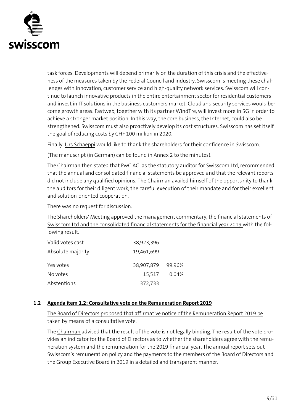

task forces. Developments will depend primarily on the duration of this crisis and the effectiveness of the measures taken by the Federal Council and industry. Swisscom is meeting these challenges with innovation, customer service and high-quality network services. Swisscom will continue to launch innovative products in the entire entertainment sector for residential customers and invest in IT solutions in the business customers market. Cloud and security services would become growth areas. Fastweb, together with its partner WindTre, will invest more in 5G in order to achieve a stronger market position. In this way, the core business, the Internet, could also be strengthened. Swisscom must also proactively develop its cost structures. Swisscom has set itself the goal of reducing costs by CHF 100 million in 2020.

Finally, Urs Schaeppi would like to thank the shareholders for their confidence in Swisscom.

(The manuscript (in German) can be found in Annex 2 to the minutes).

The Chairman then stated that PwC AG, as the statutory auditor for Swisscom Ltd, recommended that the annual and consolidated financial statements be approved and that the relevant reports did not include any qualified opinions. The Chairman availed himself of the opportunity to thank the auditors for their diligent work, the careful execution of their mandate and for their excellent and solution-oriented cooperation.

There was no request for discussion.

The Shareholders' Meeting approved the management commentary, the financial statements of Swisscom Ltd and the consolidated financial statements for the financial year 2019 with the following result.

| Valid votes cast  | 38,923,396        |       |
|-------------------|-------------------|-------|
| Absolute majority | 19,461,699        |       |
| Yes votes         | 38,907,879 99.96% |       |
| No votes          | 15,517            | 0.04% |
| Abstentions       | 372,733           |       |

## <span id="page-8-0"></span>**1.2 Agenda item 1.2: Consultative vote on the Remuneration Report 2019**

The Board of Directors proposed that affirmative notice of the Remuneration Report 2019 be taken by means of a consultative vote.

The Chairman advised that the result of the vote is not legally binding. The result of the vote provides an indicator for the Board of Directors as to whether the shareholders agree with the remuneration system and the remuneration for the 2019 financial year. The annual report sets out Swisscom's remuneration policy and the payments to the members of the Board of Directors and the Group Executive Board in 2019 in a detailed and transparent manner.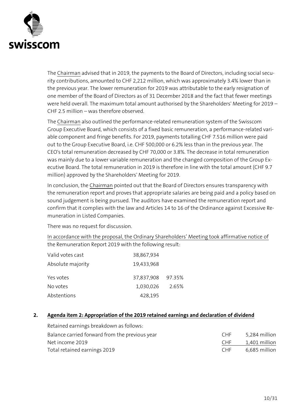

The Chairman advised that in 2019, the payments to the Board of Directors, including social security contributions, amounted to CHF 2,212 million, which was approximately 3.4% lower than in the previous year. The lower remuneration for 2019 was attributable to the early resignation of one member of the Board of Directors as of 31 December 2018 and the fact that fewer meetings were held overall. The maximum total amount authorised by the Shareholders' Meeting for 2019 – CHF 2.5 million – was therefore observed.

The Chairman also outlined the performance-related remuneration system of the Swisscom Group Executive Board, which consists of a fixed basic remuneration, a performance-related variable component and fringe benefits. For 2019, payments totalling CHF 7.516 million were paid out to the Group Executive Board, i.e. CHF 500,000 or 6.2% less than in the previous year. The CEO's total remuneration decreased by CHF 70,000 or 3.8%. The decrease in total remuneration was mainly due to a lower variable remuneration and the changed composition of the Group Executive Board. The total remuneration in 2019 is therefore in line with the total amount (CHF 9.7 million) approved by the Shareholders' Meeting for 2019.

In conclusion, the Chairman pointed out that the Board of Directors ensures transparency with the remuneration report and proves that appropriate salaries are being paid and a policy based on sound judgement is being pursued. The auditors have examined the remuneration report and confirm that it complies with the law and Articles 14 to 16 of the Ordinance against Excessive Remuneration in Listed Companies.

There was no request for discussion.

In accordance with the proposal, the Ordinary Shareholders' Meeting took affirmative notice of the Remuneration Report 2019 with the following result:

| Valid votes cast  | 38,867,934 |        |
|-------------------|------------|--------|
| Absolute majority | 19,433,968 |        |
| Yes votes         | 37,837,908 | 97.35% |
| No votes          | 1,030,026  | 2.65%  |
| Abstentions       | 428,195    |        |

## <span id="page-9-0"></span>**2. Agenda item 2: Appropriation of the 2019 retained earnings and declaration of dividend**

| Retained earnings breakdown as follows:        |      |               |
|------------------------------------------------|------|---------------|
| Balance carried forward from the previous year | CHF. | 5,284 million |
| Net income 2019                                | CHF. | 1,401 million |
| Total retained earnings 2019                   | CHF  | 6,685 million |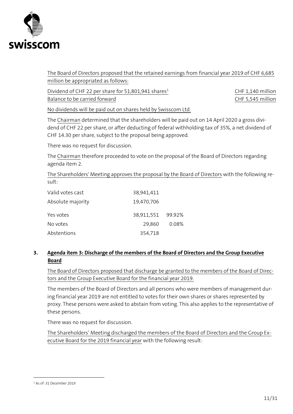

The Board of Directors proposed that the retained earnings from financial year 2019 of CHF 6,685 million be appropriated as follows:

Dividend of CHF 22 per share for 51,801,941 shares<sup>1</sup> CHF 1,140 million Balance to be carried forward **EXECUSE 10** CHF 5,545 million

No dividends will be paid out on shares held by Swisscom Ltd.

The Chairman determined that the shareholders will be paid out on 14 April 2020 a gross dividend of CHF 22 per share, or after deducting of federal withholding tax of 35%, a net dividend of CHF 14.30 per share, subject to the proposal being approved.

There was no request for discussion.

The Chairman therefore proceeded to vote on the proposal of the Board of Directors regarding agenda item 2.

The Shareholders' Meeting approves the proposal by the Board of Directors with the following result:

| Valid votes cast  | 38,941,411        |       |
|-------------------|-------------------|-------|
| Absolute majority | 19,470,706        |       |
| Yes votes         | 38,911,551 99.92% |       |
| No votes          | 29,860            | 0.08% |
| Abstentions       | 354,718           |       |

#### <span id="page-10-0"></span>**3. Agenda item 3: Discharge of the members of the Board of Directors and the Group Executive Board**

The Board of Directors proposed that discharge be granted to the members of the Board of Directors and the Group Executive Board for the financial year 2019.

The members of the Board of Directors and all persons who were members of management during financial year 2019 are not entitled to votes for their own shares or shares represented by proxy. These persons were asked to abstain from voting. This also applies to the representative of these persons.

There was no request for discussion.

The Shareholders' Meeting discharged the members of the Board of Directors and the Group Executive Board for the 2019 financial year with the following result:

÷,

<sup>1</sup> As of: 31 December 2019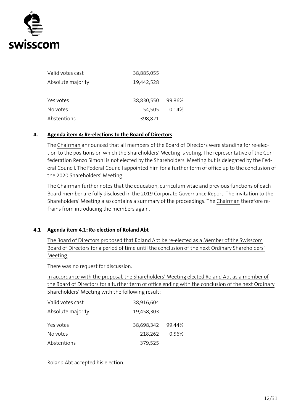

| Valid votes cast  | 38,885,055 |        |
|-------------------|------------|--------|
| Absolute majority | 19,442,528 |        |
| Yes votes         | 38,830,550 | 99.86% |
| No votes          | 54,505     | 0.14%  |
| Abstentions       | 398,821    |        |
|                   |            |        |

#### <span id="page-11-0"></span>**4. Agenda item 4: Re-elections to the Board of Directors**

The Chairman announced that all members of the Board of Directors were standing for re-election to the positions on which the Shareholders' Meeting is voting. The representative of the Confederation Renzo Simoni is not elected by the Shareholders' Meeting but is delegated by the Federal Council. The Federal Council appointed him for a further term of office up to the conclusion of the 2020 Shareholders' Meeting.

The Chairman further notes that the education, curriculum vitae and previous functions of each Board member are fully disclosed in the 2019 Corporate Governance Report. The invitation to the Shareholders' Meeting also contains a summary of the proceedings. The Chairman therefore refrains from introducing the members again.

#### <span id="page-11-1"></span>**4.1 Agenda item 4.1: Re-election of Roland Abt**

The Board of Directors proposed that Roland Abt be re-elected as a Member of the Swisscom Board of Directors for a period of time until the conclusion of the next Ordinary Shareholders' Meeting.

There was no request for discussion.

In accordance with the proposal, the Shareholders' Meeting elected Roland Abt as a member of the Board of Directors for a further term of office ending with the conclusion of the next Ordinary Shareholders' Meeting with the following result:

| Valid votes cast  | 38,916,604        |       |
|-------------------|-------------------|-------|
| Absolute majority | 19,458,303        |       |
| Yes votes         | 38,698,342 99.44% |       |
| No votes          | 218,262           | 0.56% |
| Abstentions       | 379,525           |       |

Roland Abt accepted his election.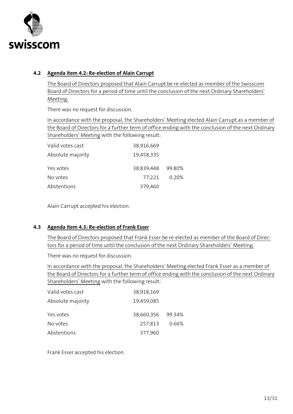

## <span id="page-12-0"></span>**4.2 Agenda item 4.2: Re-election of Alain Carrupt**

The Board of Directors proposed that Alain Carrupt be re-elected as member of the Swisscom Board of Directors for a period of time until the conclusion of the next Ordinary Shareholders' Meeting.

There was no request for discussion.

In accordance with the proposal, the Shareholders' Meeting elected Alain Carrupt as a member of the Board of Directors for a further term of office ending with the conclusion of the next Ordinary Shareholders' Meeting with the following result:

| Valid votes cast  | 38,916,669        |       |
|-------------------|-------------------|-------|
| Absolute majority | 19,458,335        |       |
| Yes votes         | 38,839,448 99.80% |       |
| No votes          | 77.221            | 0.20% |
| Abstentions       | 379,460           |       |

Alain Carrupt accepted his election.

## <span id="page-12-1"></span>**4.3 Agenda item 4.3: Re-election of Frank Esser**

The Board of Directors proposed that Frank Esser be re-elected as member of the Board of Directors for a period of time until the conclusion of the next Ordinary Shareholders' Meeting.

There was no request for discussion.

In accordance with the proposal, the Shareholders' Meeting elected Frank Esser as a member of the Board of Directors for a further term of office ending with the conclusion of the next Ordinary Shareholders' Meeting with the following result:

| Valid votes cast  | 38,918,169        |       |
|-------------------|-------------------|-------|
| Absolute majority | 19,459,085        |       |
| Yes votes         | 38,660,356 99.34% |       |
| No votes          | 257,813           | 0.66% |
| Abstentions       | 377,960           |       |

Frank Esser accepted his election.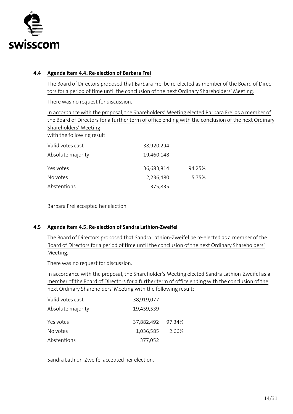

#### <span id="page-13-0"></span>**4.4 Agenda item 4.4: Re-election of Barbara Frei**

The Board of Directors proposed that Barbara Frei be re-elected as member of the Board of Directors for a period of time until the conclusion of the next Ordinary Shareholders' Meeting.

There was no request for discussion.

In accordance with the proposal, the Shareholders' Meeting elected Barbara Frei as a member of the Board of Directors for a further term of office ending with the conclusion of the next Ordinary Shareholders' Meeting with the following result: Valid votes cast 38,920,294 Absolute majority 19,460,148 Yes votes 36,683,814 94.25%

Barbara Frei accepted her election.

#### <span id="page-13-1"></span>**4.5 Agenda item 4.5: Re-election of Sandra Lathion-Zweifel**

Abstentions 375,835

No votes 2,236,480 5.75%

The Board of Directors proposed that Sandra Lathion-Zweifel be re-elected as a member of the Board of Directors for a period of time until the conclusion of the next Ordinary Shareholders' Meeting.

There was no request for discussion.

In accordance with the proposal, the Shareholder's Meeting elected Sandra Lathion-Zweifel as a member of the Board of Directors for a further term of office ending with the conclusion of the next Ordinary Shareholders' Meeting with the following result:

| Valid votes cast  | 38,919,077        |       |
|-------------------|-------------------|-------|
| Absolute majority | 19,459,539        |       |
| Yes votes         | 37,882,492 97.34% |       |
| No votes          | 1,036,585         | 2.66% |
| Abstentions       | 377,052           |       |

Sandra Lathion-Zweifel accepted her election.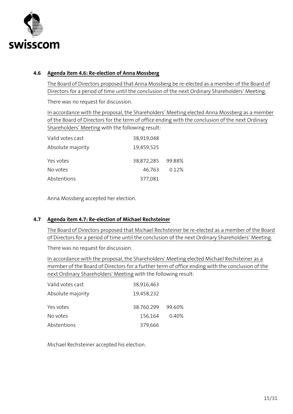

#### <span id="page-14-0"></span>**4.6 Agenda item 4.6: Re-election of Anna Mossberg**

The Board of Directors proposed that Anna Mossberg be re-elected as a member of the Board of Directors for a period of time until the conclusion of the next Ordinary Shareholders' Meeting.

There was no request for discussion.

In accordance with the proposal, the Shareholders' Meeting elected Anna Mossberg as a member of the Board of Directors for the term of office ending with the conclusion of the next Ordinary Shareholders' Meeting with the following result:

| Valid votes cast  | 38,919,048        |       |
|-------------------|-------------------|-------|
| Absolute majority | 19,459,525        |       |
| Yes votes         | 38,872,285 99.88% |       |
| No votes          | 46.763            | 0.12% |
| Abstentions       | 377,081           |       |

Anna Mossberg accepted her election.

## <span id="page-14-1"></span>**4.7 Agenda item 4.7: Re-election of Michael Rechsteiner**

The Board of Directors proposed that Michael Rechsteiner be re-elected as a member of the Board of Directors for a period of time until the conclusion of the next Ordinary Shareholders' Meeting.

There was no request for discussion.

In accordance with the proposal, the Shareholders' Meeting elected Michael Rechsteiner as a member of the Board of Directors for a further term of office ending with the conclusion of the next Ordinary Shareholders' Meeting with the following result:

| Valid votes cast  | 38,916,463 |        |
|-------------------|------------|--------|
| Absolute majority | 19,458,232 |        |
| Yes votes         | 38.760.299 | 99.60% |
| No votes          | 156,164    | 0.40%  |
| Abstentions       | 379,666    |        |

Michael Rechsteiner accepted his election.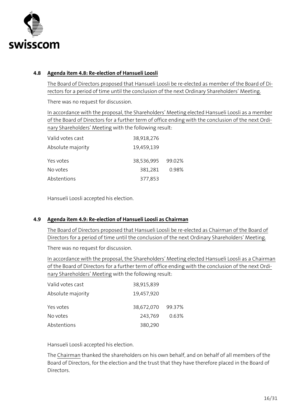

## <span id="page-15-0"></span>**4.8 Agenda item 4.8: Re-election of Hansueli Loosli**

The Board of Directors proposed that Hansueli Loosli be re-elected as member of the Board of Directors for a period of time until the conclusion of the next Ordinary Shareholders' Meeting.

There was no request for discussion.

In accordance with the proposal, the Shareholders' Meeting elected Hansueli Loosli as a member of the Board of Directors for a further term of office ending with the conclusion of the next Ordinary Shareholders' Meeting with the following result:

| Valid votes cast  | 38,918,276        |       |
|-------------------|-------------------|-------|
| Absolute majority | 19,459,139        |       |
| Yes votes         | 38,536,995 99.02% |       |
| No votes          | 381,281           | 0.98% |
| Abstentions       | 377,853           |       |

Hansueli Loosli accepted his election.

## <span id="page-15-1"></span>**4.9 Agenda item 4.9: Re-election of Hansueli Loosli as Chairman**

The Board of Directors proposed that Hansueli Loosli be re-elected as Chairman of the Board of Directors for a period of time until the conclusion of the next Ordinary Shareholders' Meeting.

There was no request for discussion.

In accordance with the proposal, the Shareholders' Meeting elected Hansueli Loosli as a Chairman of the Board of Directors for a further term of office ending with the conclusion of the next Ordinary Shareholders' Meeting with the following result:

| Valid votes cast  | 38,915,839 |        |
|-------------------|------------|--------|
| Absolute majority | 19,457,920 |        |
| Yes votes         | 38,672,070 | 99.37% |
| No votes          | 243,769    | 0.63%  |
| Abstentions       | 380,290    |        |

Hansueli Loosli accepted his election.

The Chairman thanked the shareholders on his own behalf, and on behalf of all members of the Board of Directors, for the election and the trust that they have therefore placed in the Board of Directors.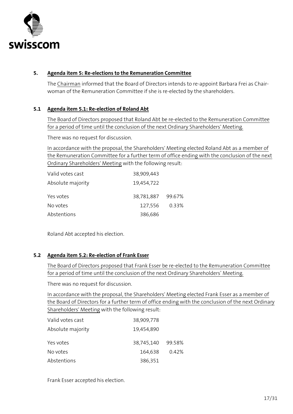

## <span id="page-16-0"></span>**5. Agenda item 5: Re-elections to the Remuneration Committee**

The Chairman informed that the Board of Directors intends to re-appoint Barbara Frei as Chairwoman of the Remuneration Committee if she is re-elected by the shareholders.

## <span id="page-16-1"></span>**5.1 Agenda item 5.1: Re-election of Roland Abt**

The Board of Directors proposed that Roland Abt be re-elected to the Remuneration Committee for a period of time until the conclusion of the next Ordinary Shareholders' Meeting.

There was no request for discussion.

In accordance with the proposal, the Shareholders' Meeting elected Roland Abt as a member of the Remuneration Committee for a further term of office ending with the conclusion of the next Ordinary Shareholders' Meeting with the following result:

| Valid votes cast  | 38,909,443        |       |
|-------------------|-------------------|-------|
| Absolute majority | 19,454,722        |       |
| Yes votes         | 38,781,887 99.67% |       |
| No votes          | 127,556           | 0.33% |
| Abstentions       | 386,686           |       |

Roland Abt accepted his election.

## <span id="page-16-2"></span>**5.2 Agenda item 5.2: Re-election of Frank Esser**

The Board of Directors proposed that Frank Esser be re-elected to the Remuneration Committee for a period of time until the conclusion of the next Ordinary Shareholders' Meeting.

There was no request for discussion.

In accordance with the proposal, the Shareholders' Meeting elected Frank Esser as a member of the Board of Directors for a further term of office ending with the conclusion of the next Ordinary Shareholders' Meeting with the following result:

| Valid votes cast  | 38,909,778 |        |
|-------------------|------------|--------|
| Absolute majority | 19,454,890 |        |
| Yes votes         | 38,745,140 | 99.58% |
| No votes          | 164,638    | 0.42%  |
| Abstentions       | 386,351    |        |

Frank Esser accepted his election.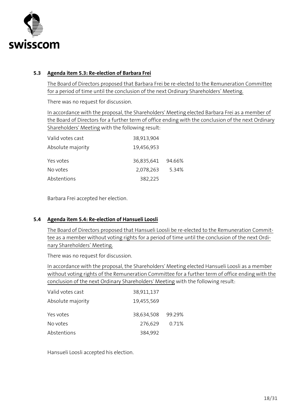

#### <span id="page-17-0"></span>**5.3 Agenda item 5.3: Re-election of Barbara Frei**

The Board of Directors proposed that Barbara Frei be re-elected to the Remuneration Committee for a period of time until the conclusion of the next Ordinary Shareholders' Meeting.

There was no request for discussion.

In accordance with the proposal, the Shareholders' Meeting elected Barbara Frei as a member of the Board of Directors for a further term of office ending with the conclusion of the next Ordinary Shareholders' Meeting with the following result:

| Valid votes cast  | 38,913,904        |       |
|-------------------|-------------------|-------|
| Absolute majority | 19,456,953        |       |
| Yes votes         | 36,835,641 94.66% |       |
| No votes          | 2,078,263         | 5.34% |
| Abstentions       | 382,225           |       |

Barbara Frei accepted her election.

## <span id="page-17-1"></span>**5.4 Agenda item 5.4: Re-election of Hansueli Loosli**

The Board of Directors proposed that Hansueli Loosli be re-elected to the Remuneration Committee as a member without voting rights for a period of time until the conclusion of the next Ordinary Shareholders' Meeting.

There was no request for discussion.

In accordance with the proposal, the Shareholders' Meeting elected Hansueli Loosli as a member without voting rights of the Remuneration Committee for a further term of office ending with the conclusion of the next Ordinary Shareholders' Meeting with the following result:

| Valid votes cast  | 38,911,137 |        |
|-------------------|------------|--------|
| Absolute majority | 19,455,569 |        |
| Yes votes         | 38,634,508 | 99.29% |
| No votes          | 276,629    | 0.71%  |
| Abstentions       | 384,992    |        |

Hansueli Loosli accepted his election.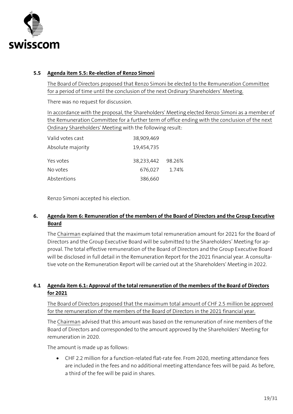

## <span id="page-18-0"></span>**5.5 Agenda item 5.5: Re-election of Renzo Simoni**

The Board of Directors proposed that Renzo Simoni be elected to the Remuneration Committee for a period of time until the conclusion of the next Ordinary Shareholders' Meeting.

There was no request for discussion.

In accordance with the proposal, the Shareholders' Meeting elected Renzo Simoni as a member of the Remuneration Committee for a further term of office ending with the conclusion of the next Ordinary Shareholders' Meeting with the following result:

| Valid votes cast  | 38,909,469        |       |
|-------------------|-------------------|-------|
| Absolute majority | 19,454,735        |       |
| Yes votes         | 38,233,442 98.26% |       |
| No votes          | 676,027           | 1.74% |
| Abstentions       | 386,660           |       |

Renzo Simoni accepted his election.

## <span id="page-18-1"></span>**6. Agenda item 6: Remuneration of the members of the Board of Directors and the Group Executive Board**

The Chairman explained that the maximum total remuneration amount for 2021 for the Board of Directors and the Group Executive Board will be submitted to the Shareholders' Meeting for approval. The total effective remuneration of the Board of Directors and the Group Executive Board will be disclosed in full detail in the Remuneration Report for the 2021 financial year. A consultative vote on the Remuneration Report will be carried out at the Shareholders' Meeting in 2022.

## <span id="page-18-2"></span>**6.1 Agenda item 6.1: Approval of the total remuneration of the members of the Board of Directors for 2021**

The Board of Directors proposed that the maximum total amount of CHF 2.5 million be approved for the remuneration of the members of the Board of Directors in the 2021 financial year.

The Chairman advised that this amount was based on the remuneration of nine members of the Board of Directors and corresponded to the amount approved by the Shareholders' Meeting for remuneration in 2020.

The amount is made up as follows:

• CHF 2.2 million for a function-related flat-rate fee. From 2020, meeting attendance fees are included in the fees and no additional meeting attendance fees will be paid. As before, a third of the fee will be paid in shares.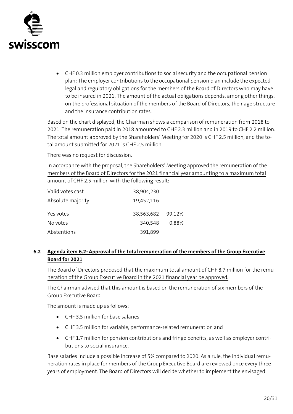

• CHF 0.3 million employer contributions to social security and the occupational pension plan: The employer contributions to the occupational pension plan include the expected legal and regulatory obligations for the members of the Board of Directors who may have to be insured in 2021. The amount of the actual obligations depends, among other things, on the professional situation of the members of the Board of Directors, their age structure and the insurance contribution rates.

Based on the chart displayed, the Chairman shows a comparison of remuneration from 2018 to 2021. The remuneration paid in 2018 amounted to CHF 2.3 million and in 2019 to CHF 2.2 million. The total amount approved by the Shareholders' Meeting for 2020 is CHF 2.5 million, and the total amount submitted for 2021 is CHF 2.5 million.

There was no request for discussion.

In accordance with the proposal, the Shareholders' Meeting approved the remuneration of the members of the Board of Directors for the 2021 financial year amounting to a maximum total amount of CHF 2.5 million with the following result:

| Valid votes cast  | 38,904,230        |       |
|-------------------|-------------------|-------|
| Absolute majority | 19,452,116        |       |
| Yes votes         | 38,563,682 99.12% |       |
| No votes          | 340,548           | 0.88% |
| Abstentions       | 391,899           |       |

## <span id="page-19-0"></span>**6.2 Agenda item 6.2: Approval of the total remuneration of the members of the Group Executive Board for 2021**

The Board of Directors proposed that the maximum total amount of CHF 8.7 million for the remuneration of the Group Executive Board in the 2021 financial year be approved.

The Chairman advised that this amount is based on the remuneration of six members of the Group Executive Board.

The amount is made up as follows:

- CHF 3.5 million for base salaries
- CHF 3.5 million for variable, performance-related remuneration and
- CHF 1.7 million for pension contributions and fringe benefits, as well as employer contributions to social insurance.

Base salaries include a possible increase of 5% compared to 2020. As a rule, the individual remuneration rates in place for members of the Group Executive Board are reviewed once every three years of employment. The Board of Directors will decide whether to implement the envisaged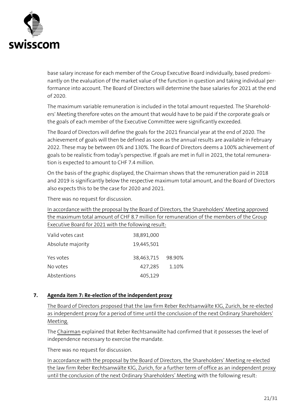

base salary increase for each member of the Group Executive Board individually, based predominantly on the evaluation of the market value of the function in question and taking individual performance into account. The Board of Directors will determine the base salaries for 2021 at the end of 2020.

The maximum variable remuneration is included in the total amount requested. The Shareholders' Meeting therefore votes on the amount that would have to be paid if the corporate goals or the goals of each member of the Executive Committee were significantly exceeded.

The Board of Directors will define the goals for the 2021 financial year at the end of 2020. The achievement of goals will then be defined as soon as the annual results are available in February 2022. These may be between 0% and 130%. The Board of Directors deems a 100% achievement of goals to be realistic from today's perspective. If goals are met in full in 2021, the total remuneration is expected to amount to CHF 7.4 million.

On the basis of the graphic displayed, the Chairman shows that the remuneration paid in 2018 and 2019 is significantly below the respective maximum total amount, and the Board of Directors also expects this to be the case for 2020 and 2021.

There was no request for discussion.

In accordance with the proposal by the Board of Directors, the Shareholders' Meeting approved the maximum total amount of CHF 8.7 million for remuneration of the members of the Group Executive Board for 2021 with the following result:

| Valid votes cast  | 38,891,000        |       |
|-------------------|-------------------|-------|
| Absolute majority | 19,445,501        |       |
| Yes votes         | 38,463,715 98.90% |       |
| No votes          | 427,285           | 1.10% |
| Abstentions       | 405,129           |       |

## <span id="page-20-0"></span>**7. Agenda item 7: Re-election of the independent proxy**

The Board of Directors proposed that the law firm Reber Rechtsanwälte KlG, Zurich, be re-elected as independent proxy for a period of time until the conclusion of the next Ordinary Shareholders' Meeting.

The Chairman explained that Reber Rechtsanwälte had confirmed that it possesses the level of independence necessary to exercise the mandate.

There was no request for discussion.

In accordance with the proposal by the Board of Directors, the Shareholders' Meeting re-elected the law firm Reber Rechtsanwälte KlG, Zurich, for a further term of office as an independent proxy until the conclusion of the next Ordinary Shareholders' Meeting with the following result: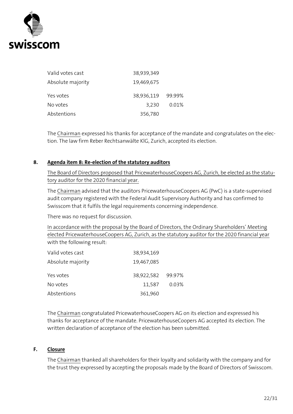

| Valid votes cast  | 38,939,349        |       |
|-------------------|-------------------|-------|
| Absolute majority | 19,469,675        |       |
| Yes votes         | 38,936,119 99.99% |       |
| No votes          | 3.230             | 0.01% |
| Abstentions       | 356,780           |       |

The Chairman expressed his thanks for acceptance of the mandate and congratulates on the election. The law firm Reber Rechtsanwälte KlG, Zurich, accepted its election.

#### <span id="page-21-0"></span>**8. Agenda item 8: Re-election of the statutory auditors**

The Board of Directors proposed that PricewaterhouseCoopers AG, Zurich, be elected as the statutory auditor for the 2020 financial year.

The Chairman advised that the auditors PricewaterhouseCoopers AG (PwC) is a state-supervised audit company registered with the Federal Audit Supervisory Authority and has confirmed to Swisscom that it fulfils the legal requirements concerning independence.

There was no request for discussion.

In accordance with the proposal by the Board of Directors, the Ordinary Shareholders' Meeting elected PricewaterhouseCoopers AG, Zurich, as the statutory auditor for the 2020 financial year with the following result:

| Valid votes cast  | 38,934,169        |       |
|-------------------|-------------------|-------|
| Absolute majority | 19,467,085        |       |
| Yes votes         | 38,922,582 99.97% |       |
| No votes          | 11,587            | 0.03% |
| Abstentions       | 361,960           |       |

The Chairman congratulated PricewaterhouseCoopers AG on its election and expressed his thanks for acceptance of the mandate. PricewaterhouseCoopers AG accepted its election. The written declaration of acceptance of the election has been submitted.

#### **F. Closure**

<span id="page-21-1"></span>The Chairman thanked all shareholders for their loyalty and solidarity with the company and for the trust they expressed by accepting the proposals made by the Board of Directors of Swisscom.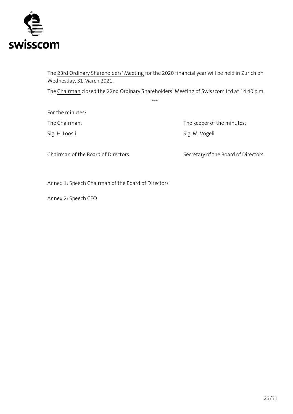

The 23rd Ordinary Shareholders' Meeting for the 2020 financial year will be held in Zurich on Wednesday, 31 March 2021.

The Chairman closed the 22nd Ordinary Shareholders' Meeting of Swisscom Ltd at 14.40 p.m.

\*\*\*

For the minutes:

The Chairman: The Chairman: The Keeper of the minutes: Sig. H. Loosli Sig. M. Vögeli

Chairman of the Board of Directors Secretary of the Board of Directors

Annex 1: Speech Chairman of the Board of Directors

Annex 2: Speech CEO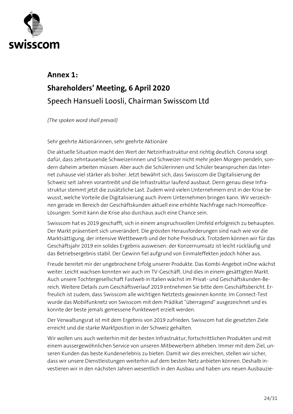

## **Annex 1: Shareholders' Meeting, 6 April 2020 Speech Hansueli Loosli, Chairman Swisscom Ltd**

*(The spoken word shall prevail)*

Sehr geehrte Aktionärinnen, sehr geehrte Aktionäre

Die aktuelle Situation macht den Wert der Netzinfrastruktur erst richtig deutlich. Corona sorgt dafür, dass zehntausende Schweizerinnen und Schweizer nicht mehr jeden Morgen pendeln, sondern daheim arbeiten müssen. Aber auch die Schülerinnen und Schüler beanspruchen das Internet zuhause viel stärker als bisher. Jetzt bewährt sich, dass Swisscom die Digitalisierung der Schweiz seit Jahren vorantreibt und die Infrastruktur laufend ausbaut. Denn genau diese Infrastruktur stemmt jetzt die zusätzliche Last. Zudem wird vielen Unternehmern erst in der Krise bewusst, welche Vorteile die Digitalisierung auch ihrem Unternehmen bringen kann. Wir verzeichnen gerade im Bereich der Geschäftskunden aktuell eine erhöhte Nachfrage nach Homeoffice-Lösungen. Somit kann die Krise also durchaus auch eine Chance sein.

Swisscom hat es 2019 geschafft, sich in einem anspruchsvollen Umfeld erfolgreich zu behaupten. Der Markt präsentiert sich unverändert. Die grössten Herausforderungen sind nach wie vor die Marktsättigung, der intensive Wettbewerb und der hohe Preisdruck. Trotzdem können wir für das Geschäftsjahr 2019 ein solides Ergebnis ausweisen: der Konzernumsatz ist leicht rückläufig und das Betriebsergebnis stabil. Der Gewinn fiel aufgrund von Einmaleffekten jedoch höher aus.

Freude bereitet mir der ungebrochene Erfolg unserer Produkte. Das Kombi-Angebot inOne wächst weiter. Leicht wachsen konnten wir auch im TV-Geschäft. Und dies in einem gesättigten Markt. Auch unsere Tochtergesellschaft Fastweb in Italien wächst im Privat- und Geschäftskunden-Bereich. Weitere Details zum Geschäftsverlauf 2019 entnehmen Sie bitte dem Geschäftsbericht. Erfreulich ist zudem, dass Swisscom alle wichtigen Netztests gewinnen konnte. Im Connect-Test wurde das Mobilfunknetz von Swisscom mit dem Prädikat "überragend" ausgezeichnet und es konnte der beste jemals gemessene Punktewert erzielt werden.

Der Verwaltungsrat ist mit dem Ergebnis von 2019 zufrieden. Swisscom hat die gesetzten Ziele erreicht und die starke Marktposition in der Schweiz gehalten.

Wir wollen uns auch weiterhin mit der besten Infrastruktur, fortschrittlichen Produkten und mit einem aussergewöhnlichen Service von unseren Mitbewerbern abheben. Immer mit dem Ziel, unseren Kunden das beste Kundenerlebnis zu bieten. Damit wir dies erreichen, stellen wir sicher, dass wir unsere Dienstleistungen weiterhin auf dem besten Netz anbieten können. Deshalb investieren wir in den nächsten Jahren wesentlich in den Ausbau und haben uns neuen Ausbauzie-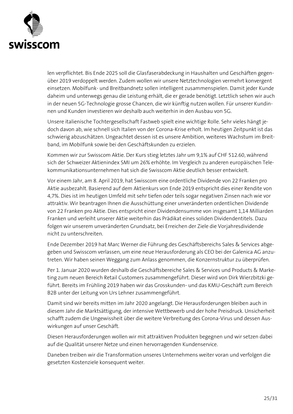

len verpflichtet. Bis Ende 2025 soll die Glasfaserabdeckung in Haushalten und Geschäften gegenüber 2019 verdoppelt werden. Zudem wollen wir unsere Netztechnologien vermehrt konvergent einsetzen. Mobilfunk- und Breitbandnetz sollen intelligent zusammenspielen. Damit jeder Kunde daheim und unterwegs genau die Leistung erhält, die er gerade benötigt. Letztlich sehen wir auch in der neuen 5G-Technologie grosse Chancen, die wir künftig nutzen wollen. Für unserer Kundinnen und Kunden investieren wir deshalb auch weiterhin in den Ausbau von 5G.

Unsere italienische Tochtergesellschaft Fastweb spielt eine wichtige Rolle. Sehr vieles hängt jedoch davon ab, wie schnell sich Italien von der Corona-Krise erholt. Im heutigen Zeitpunkt ist das schwierig abzuschätzen. Ungeachtet dessen ist es unsere Ambition, weiteres Wachstum im Breitband, im Mobilfunk sowie bei den Geschäftskunden zu erzielen.

Kommen wir zur Swisscom Aktie. Der Kurs stieg letztes Jahr um 9,1% auf CHF 512.60, während sich der Schweizer Aktienindex SMI um 26% erhöhte. Im Vergleich zu anderen europäischen Telekommunikationsunternehmen hat sich die Swisscom Aktie deutlich besser entwickelt.

Vor einem Jahr, am 8. April 2019, hat Swisscom eine ordentliche Dividende von 22 Franken pro Aktie ausbezahlt. Basierend auf dem Aktienkurs von Ende 2019 entspricht dies einer Rendite von 4,7%. Dies ist im heutigen Umfeld mit sehr tiefen oder teils sogar negativen Zinsen nach wie vor attraktiv. Wir beantragen Ihnen die Ausschüttung einer unveränderten ordentlichen Dividende von 22 Franken pro Aktie. Dies entspricht einer Dividendensumme von insgesamt 1,14 Milliarden Franken und verleiht unserer Aktie weiterhin das Prädikat eines soliden Dividendentitels. Dazu folgen wir unserem unveränderten Grundsatz, bei Erreichen der Ziele die Vorjahresdividende nicht zu unterschreiten.

Ende Dezember 2019 hat Marc Werner die Führung des Geschäftsbereichs Sales & Services abgegeben und Swisscom verlassen, um eine neue Herausforderung als CEO bei der Galenica AG anzutreten. Wir haben seinen Weggang zum Anlass genommen, die Konzernstruktur zu überprüfen.

Per 1. Januar 2020 wurden deshalb die Geschäftsbereiche Sales & Services und Products & Marketing zum neuen Bereich Retail Customers zusammengeführt. Dieser wird von Dirk Wierzbitzki geführt. Bereits im Frühling 2019 haben wir das Grosskunden- und das KMU-Geschäft zum Bereich B2B unter der Leitung von Urs Lehner zusammengeführt.

Damit sind wir bereits mitten im Jahr 2020 angelangt. Die Herausforderungen bleiben auch in diesem Jahr die Marktsättigung, der intensive Wettbewerb und der hohe Preisdruck. Unsicherheit schafft zudem die Ungewissheit über die weitere Verbreitung des Corona-Virus und dessen Auswirkungen auf unser Geschäft.

Diesen Herausforderungen wollen wir mit attraktiven Produkten begegnen und wir setzen dabei auf die Qualität unserer Netze und einen hervorragenden Kundenservice.

Daneben treiben wir die Transformation unseres Unternehmens weiter voran und verfolgen die gesetzten Kostenziele konsequent weiter.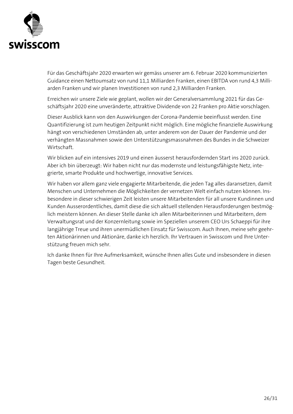

Für das Geschäftsjahr 2020 erwarten wir gemäss unserer am 6. Februar 2020 kommunizierten Guidance einen Nettoumsatz von rund 11,1 Milliarden Franken, einen EBITDA von rund 4,3 Milliarden Franken und wir planen Investitionen von rund 2,3 Milliarden Franken.

Erreichen wir unsere Ziele wie geplant, wollen wir der Generalversammlung 2021 für das Geschäftsjahr 2020 eine unveränderte, attraktive Dividende von 22 Franken pro Aktie vorschlagen.

Dieser Ausblick kann von den Auswirkungen der Corona-Pandemie beeinflusst werden. Eine Quantifizierung ist zum heutigen Zeitpunkt nicht möglich. Eine mögliche finanzielle Auswirkung hängt von verschiedenen Umständen ab, unter anderem von der Dauer der Pandemie und der verhängten Massnahmen sowie den Unterstützungsmassnahmen des Bundes in die Schweizer Wirtschaft.

Wir blicken auf ein intensives 2019 und einen äusserst herausfordernden Start ins 2020 zurück. Aber ich bin überzeugt: Wir haben nicht nur das modernste und leistungsfähigste Netz, integrierte, smarte Produkte und hochwertige, innovative Services.

Wir haben vor allem ganz viele engagierte Mitarbeitende, die jeden Tag alles daransetzen, damit Menschen und Unternehmen die Möglichkeiten der vernetzen Welt einfach nutzen können. Insbesondere in dieser schwierigen Zeit leisten unsere Mitarbeitenden für all unsere Kundinnen und Kunden Ausserordentliches, damit diese die sich aktuell stellenden Herausforderungen bestmöglich meistern können. An dieser Stelle danke ich allen Mitarbeiterinnen und Mitarbeitern, dem Verwaltungsrat und der Konzernleitung sowie im Speziellen unserem CEO Urs Schaeppi für ihre langjährige Treue und ihren unermüdlichen Einsatz für Swisscom. Auch Ihnen, meine sehr geehrten Aktionärinnen und Aktionäre, danke ich herzlich. Ihr Vertrauen in Swisscom und Ihre Unterstützung freuen mich sehr.

Ich danke Ihnen für Ihre Aufmerksamkeit, wünsche Ihnen alles Gute und insbesondere in diesen Tagen beste Gesundheit.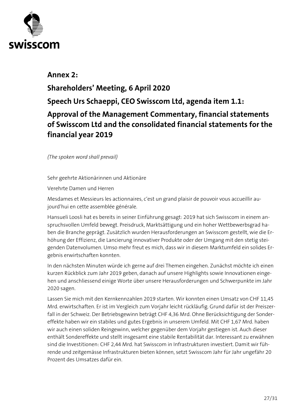

## **Annex 2: Shareholders' Meeting, 6 April 2020 Speech Urs Schaeppi, CEO Swisscom Ltd, agenda item 1.1: Approval of the Management Commentary, financial statements of Swisscom Ltd and the consolidated financial statements for the financial year 2019**

*(The spoken word shall prevail)*

Sehr geehrte Aktionärinnen und Aktionäre

Verehrte Damen und Herren

Mesdames et Messieurs les actionnaires, c'est un grand plaisir de pouvoir vous accueillir aujourd'hui en cette assemblée générale.

Hansueli Loosli hat es bereits in seiner Einführung gesagt: 2019 hat sich Swisscom in einem anspruchsvollen Umfeld bewegt. Preisdruck, Marktsättigung und ein hoher Wettbewerbsgrad haben die Branche geprägt. Zusätzlich wurden Herausforderungen an Swisscom gestellt, wie die Erhöhung der Effizienz, die Lancierung innovativer Produkte oder der Umgang mit den stetig steigenden Datenvolumen. Umso mehr freut es mich, dass wir in diesem Marktumfeld ein solides Ergebnis erwirtschaften konnten.

In den nächsten Minuten würde ich gerne auf drei Themen eingehen. Zunächst möchte ich einen kurzen Rückblick zum Jahr 2019 geben, danach auf unsere Highlights sowie Innovationen eingehen und anschliessend einige Worte über unsere Herausforderungen und Schwerpunkte im Jahr 2020 sagen.

Lassen Sie mich mit den Kernkennzahlen 2019 starten. Wir konnten einen Umsatz von CHF 11,45 Mrd. erwirtschaften. Er ist im Vergleich zum Vorjahr leicht rückläufig. Grund dafür ist der Preiszerfall in der Schweiz. Der Betriebsgewinn beträgt CHF 4,36 Mrd. Ohne Berücksichtigung der Sondereffekte haben wir ein stabiles und gutes Ergebnis in unserem Umfeld. Mit CHF 1,67 Mrd. haben wir auch einen soliden Reingewinn, welcher gegenüber dem Vorjahr gestiegen ist. Auch dieser enthält Sondereffekte und stellt insgesamt eine stabile Rentabilität dar. Interessant zu erwähnen sind die Investitionen: CHF 2,44 Mrd. hat Swisscom in Infrastrukturen investiert. Damit wir führende und zeitgemässe Infrastrukturen bieten können, setzt Swisscom Jahr für Jahr ungefähr 20 Prozent des Umsatzes dafür ein.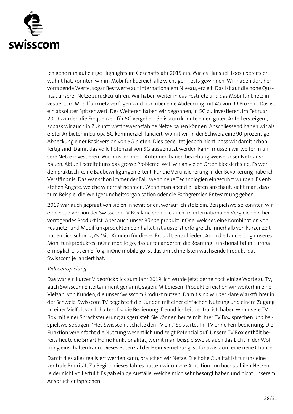

Ich gehe nun auf einige Highlights im Geschäftsjahr 2019 ein. Wie es Hansueli Loosli bereits erwähnt hat, konnten wir im Mobilfunkbereich alle wichtigen Tests gewinnen. Wir haben dort hervorragende Werte, sogar Bestwerte auf internationalem Niveau, erzielt. Das ist auf die hohe Qualität unserer Netze zurückzuführen. Wir haben weiter in das Festnetz und das Mobilfunknetz investiert. Im Mobilfunknetz verfügen wird nun über eine Abdeckung mit 4G von 99 Prozent. Das ist ein absoluter Spitzenwert. Des Weiteren haben wir begonnen, in 5G zu investieren. Im Februar 2019 wurden die Frequenzen für 5G vergeben. Swisscom konnte einen guten Anteil ersteigern, sodass wir auch in Zukunft wettbewerbsfähige Netze bauen können. Anschliessend haben wir als erster Anbieter in Europa 5G kommerziell lanciert, womit wir in der Schweiz eine 90-prozentige Abdeckung einer Basisversion von 5G bieten. Dies bedeutet jedoch nicht, dass wir damit schon fertig sind. Damit das volle Potenzial von 5G ausgenützt werden kann, müssen wir weiter in unsere Netze investieren. Wir müssen mehr Antennen bauen beziehungsweise unser Netz ausbauen. Aktuell bereitet uns das grosse Probleme, weil wir an vielen Orten blockiert sind. Es werden praktisch keine Baubewilligungen erteilt. Für die Verunsicherung in der Bevölkerung habe ich Verständnis. Das war schon immer der Fall, wenn neue Technologien eingeführt wurden. Es entstehen Ängste, welche wir ernst nehmen. Wenn man aber die Fakten anschaut, sieht man, dass zum Beispiel die Weltgesundheitsorganisation oder die Fachgremien Entwarnung geben.

2019 war auch geprägt von vielen Innovationen, worauf ich stolz bin. Beispielsweise konnten wir eine neue Version der Swisscom TV Box lancieren, die auch im internationalen Vergleich ein hervorragendes Produkt ist. Aber auch unser Bündelprodukt inOne, welches eine Kombination von Festnetz- und Mobilfunkprodukten beinhaltet, ist äusserst erfolgreich. Innerhalb von kurzer Zeit haben sich schon 2,75 Mio. Kunden für dieses Produkt entschieden. Auch die Lancierung unseres Mobilfunkproduktes inOne mobile go, das unter anderem die Roaming Funktionalität in Europa ermöglicht, ist ein Erfolg. inOne mobile go ist das am schnellsten wachsende Produkt, das Swisscom je lanciert hat.

#### *Videoeinspielung*

Das war ein kurzer Videorückblick zum Jahr 2019. Ich würde jetzt gerne noch einige Worte zu TV, auch Swisscom Entertainment genannt, sagen. Mit diesem Produkt erreichen wir weiterhin eine Vielzahl von Kunden, die unser Swisscom Produkt nutzen. Damit sind wir der klare Marktführer in der Schweiz. Swisscom TV begeistert die Kunden mit einer einfachen Nutzung und einem Zugang zu einer Vielfalt von Inhalten. Da die Bedienungsfreundlichkeit zentral ist, haben wir unsere TV Box mit einer Sprachsteuerung ausgerüstet. Sie können heute mit Ihrer TV Box sprechen und beispielsweise sagen: "Hey Swisscom, schalte den TV ein." So startet Ihr TV ohne Fernbedienung. Die Funktion vereinfacht die Nutzung wesentlich und zeigt Potenzial auf. Unsere TV Box enthält bereits heute die Smart Home Funktionalität, womit man beispielsweise auch das Licht in der Wohnung einschalten kann. Dieses Potenzial der Heimvernetzung ist für Swisscom eine neue Chance.

Damit dies alles realisiert werden kann, brauchen wir Netze. Die hohe Qualität ist für uns eine zentrale Priorität. Zu Beginn dieses Jahres hatten wir unsere Ambition von hochstabilen Netzen leider nicht voll erfüllt. Es gab einige Ausfälle, welche mich sehr besorgt haben und nicht unserem Anspruch entsprechen.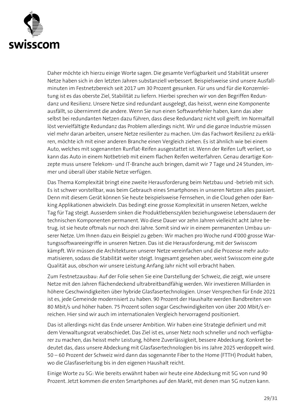

Daher möchte ich hierzu einige Worte sagen. Die gesamte Verfügbarkeit und Stabilität unserer Netze haben sich in den letzten Jahren substanziell verbessert. Beispielsweise sind unsere Ausfallminuten im Festnetzbereich seit 2017 um 30 Prozent gesunken. Für uns und für die Konzernleitung ist es das oberste Ziel, Stabilität zu liefern. Hierbei sprechen wir von den Begriffen Redundanz und Resilienz. Unsere Netze sind redundant ausgelegt, das heisst, wenn eine Komponente ausfällt, so übernimmt die andere. Wenn Sie nun einen Softwarefehler haben, kann das aber selbst bei redundanten Netzen dazu führen, dass diese Redundanz nicht voll greift. Im Normalfall löst vervielfältigte Redundanz das Problem allerdings nicht. Wir und die ganze Industrie müssen viel mehr daran arbeiten, unsere Netze resilienter zu machen. Um das Fachwort Resilienz zu erklären, möchte ich mit einer anderen Branche einen Vergleich ziehen. Es ist ähnlich wie bei einem Auto, welches mit sogenannten Runflat-Reifen ausgestattet ist. Wenn der Reifen Luft verliert, so kann das Auto in einem Notbetrieb mit einem flachen Reifen weiterfahren. Genau derartige Konzepte muss unsere Telekom- und IT-Branche auch bringen, damit wir 7 Tage und 24 Stunden, immer und überall über stabile Netze verfügen.

Das Thema Komplexität bringt eine zweite Herausforderung beim Netzbau und -betrieb mit sich. Es ist schwer vorstellbar, was beim Gebrauch eines Smartphones in unseren Netzen alles passiert. Denn mit diesem Gerät können Sie heute beispielsweise Fernsehen, in die Cloud gehen oder Banking Applikationen abwickeln. Das bedingt eine grosse Komplexität in unseren Netzen, welche Tag für Tag steigt. Ausserdem sinken die Produktlebenszyklen beziehungsweise Lebensdauern der technischen Komponenten permanent. Wo diese Dauer vor zehn Jahren vielleicht acht Jahre betrug, ist sie heute oftmals nur noch drei Jahre. Somit sind wir in einem permanenten Umbau unserer Netze. Um Ihnen dazu ein Beispiel zu geben: Wir machen pro Woche rund 4'000 grosse Wartungssoftwareeingriffe in unseren Netzen. Das ist die Herausforderung, mit der Swisscom kämpft. Wir müssen die Architekturen unserer Netze vereinfachen und die Prozesse mehr automatisieren, sodass die Stabilität weiter steigt. Insgesamt gesehen aber, weist Swisscom eine gute Qualität aus, obschon wir unsere Leistung Anfang Jahr nicht voll erbracht haben.

Zum Festnetzausbau: Auf der Folie sehen Sie eine Darstellung der Schweiz, die zeigt, wie unsere Netze mit den Jahren flächendeckend ultrabreitbandfähig werden. Wir investieren Milliarden in höhere Geschwindigkeiten über hybride Glasfasertechnologien. Unser Versprechen für Ende 2021 ist es, jede Gemeinde modernisiert zu haben. 90 Prozent der Haushalte werden Bandbreiten von 80 Mbit/s und höher haben. 75 Prozent sollen sogar Geschwindigkeiten von über 200 Mbit/s erreichen. Hier sind wir auch im internationalen Vergleich hervorragend positioniert.

Das ist allerdings nicht das Ende unserer Ambition. Wir haben eine Strategie definiert und mit dem Verwaltungsrat verabschiedet. Das Ziel ist es, unser Netz noch schneller und noch verfügbarer zu machen, das heisst mehr Leistung, höhere Zuverlässigkeit, bessere Abdeckung. Konkret bedeutet das, dass unsere Abdeckung mit Glasfasertechnologien bis ins Jahre 2025 verdoppelt wird. 50 – 60 Prozent der Schweiz wird dann das sogenannte Fiber to the Home (FTTH) Produkt haben, wo die Glasfaserleitung bis in den eigenen Haushalt reicht.

Einige Worte zu 5G: Wie bereits erwähnt haben wir heute eine Abdeckung mit 5G von rund 90 Prozent. Jetzt kommen die ersten Smartphones auf den Markt, mit denen man 5G nutzen kann.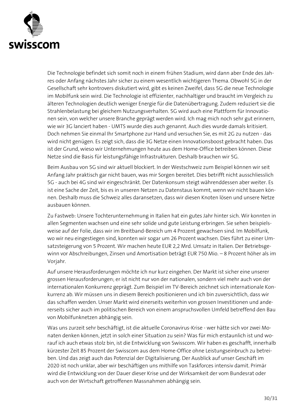

Die Technologie befindet sich somit noch in einem frühen Stadium, wird dann aber Ende des Jahres oder Anfang nächstes Jahr sicher zu einem wesentlich wichtigeren Thema. Obwohl 5G in der Gesellschaft sehr kontrovers diskutiert wird, gibt es keinen Zweifel, dass 5G die neue Technologie im Mobilfunk sein wird. Die Technologie ist effizienter, nachhaltiger und braucht im Vergleich zu älteren Technologien deutlich weniger Energie für die Datenübertragung. Zudem reduziert sie die Strahlenbelastung bei gleichem Nutzungsverhalten. 5G wird auch eine Plattform für Innovationen sein, von welcher unsere Branche geprägt werden wird. Ich mag mich noch sehr gut erinnern, wie wir 3G lanciert haben - UMTS wurde dies auch genannt. Auch dies wurde damals kritisiert. Doch nehmen Sie einmal Ihr Smartphone zur Hand und versuchen Sie, es mit 2G zu nutzen - das wird nicht genügen. Es zeigt sich, dass die 3G Netze einen Innovationsboost gebracht haben. Das ist der Grund, wieso wir Unternehmungen heute aus dem Home-Office betreiben können. Diese Netze sind die Basis für leistungsfähige Infrastrukturen. Deshalb brauchen wir 5G.

Beim Ausbau von 5G sind wir aktuell blockiert. In der Westschweiz zum Beispiel können wir seit Anfang Jahr praktisch gar nicht bauen, was mir Sorgen bereitet. Dies betrifft nicht ausschliesslich 5G - auch bei 4G sind wir eingeschränkt. Der Datenkonsum steigt währenddessen aber weiter. Es ist eine Sache der Zeit, bis es in unseren Netzen zu Datenstaus kommt, wenn wir nicht bauen können. Deshalb muss die Schweiz alles daransetzen, dass wir diesen Knoten lösen und unsere Netze ausbauen können.

Zu Fastweb: Unsere Tochterunternehmung in Italien hat ein gutes Jahr hinter sich. Wir konnten in allen Segmenten wachsen und eine sehr solide und gute Leistung erbringen. Sie sehen beispielsweise auf der Folie, dass wir im Breitband-Bereich um 4 Prozent gewachsen sind. Im Mobilfunk, wo wir neu eingestiegen sind, konnten wir sogar um 26 Prozent wachsen. Dies führt zu einer Umsatzsteigerung von 5 Prozent. Wir machen heute EUR 2,2 Mrd. Umsatz in Italien. Der Betriebsgewinn vor Abschreibungen, Zinsen und Amortisation beträgt EUR 750 Mio. – 8 Prozent höher als im Vorjahr.

Auf unsere Herausforderungen möchte ich nur kurz eingehen. Der Markt ist sicher eine unserer grossen Herausforderungen; er ist nicht nur von der nationalen, sondern viel mehr auch von der internationalen Konkurrenz geprägt. Zum Beispiel im TV-Bereich zeichnet sich internationale Konkurrenz ab. Wir müssen uns in diesem Bereich positionieren und ich bin zuversichtlich, dass wir das schaffen werden. Unser Markt wird einerseits weiterhin von grossen Investitionen und andererseits sicher auch im politischen Bereich von einem anspruchsvollen Umfeld betreffend den Bau von Mobilfunknetzen abhängig sein.

Was uns zurzeit sehr beschäftigt, ist die aktuelle Coronavirus-Krise - wer hätte sich vor zwei Monaten denken können, jetzt in solch einer Situation zu sein? Was für mich erstaunlich ist und worauf ich auch etwas stolz bin, ist die Entwicklung von Swisscom. Wir haben es geschafft, innerhalb kürzester Zeit 85 Prozent der Swisscom aus dem Home-Office ohne Leistungseinbruch zu betreiben. Und das zeigt auch das Potenzial der Digitalisierung. Der Ausblick auf unser Geschäft im 2020 ist noch unklar, aber wir beschäftigen uns mithilfe von Taskforces intensiv damit. Primär wird die Entwicklung von der Dauer dieser Krise und der Wirksamkeit der vom Bundesrat oder auch von der Wirtschaft getroffenen Massnahmen abhängig sein.